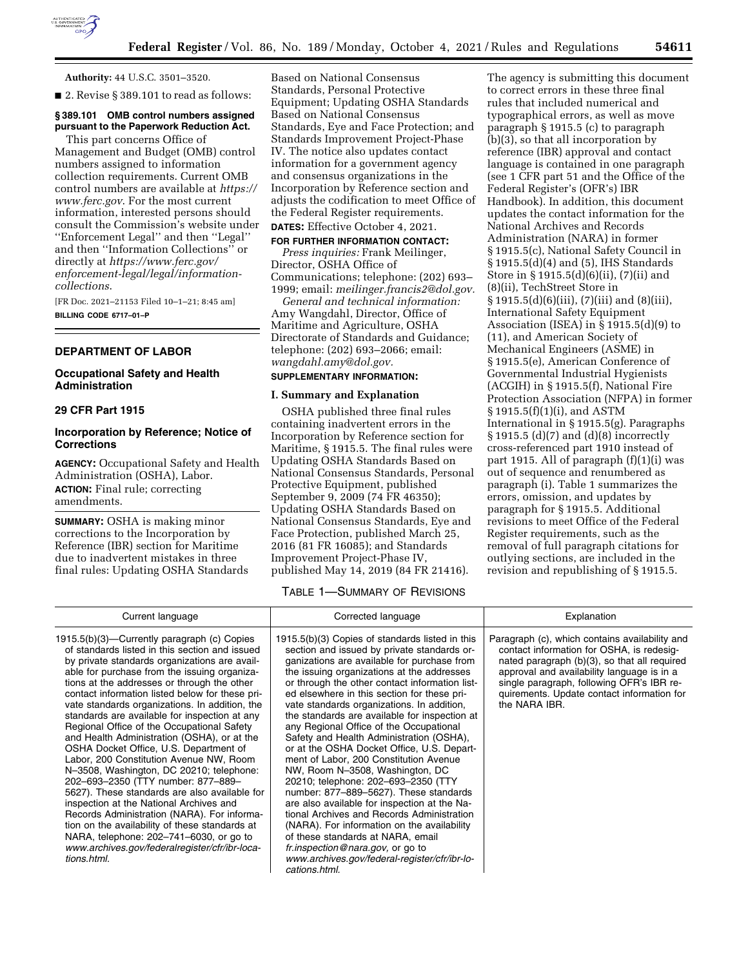

**Authority:** 44 U.S.C. 3501–3520.

■ 2. Revise § 389.101 to read as follows:

# **§ 389.101 OMB control numbers assigned pursuant to the Paperwork Reduction Act.**

This part concerns Office of Management and Budget (OMB) control numbers assigned to information collection requirements. Current OMB control numbers are available at *[https://](https://www.ferc.gov) [www.ferc.gov](https://www.ferc.gov)*. For the most current information, interested persons should consult the Commission's website under ''Enforcement Legal'' and then ''Legal'' and then ''Information Collections'' or directly at *[https://www.ferc.gov/](https://www.ferc.gov)  enforcement-legal/legal/informationcollections*.

[FR Doc. 2021–21153 Filed 10–1–21; 8:45 am] **BILLING CODE 6717–01–P** 

#### **DEPARTMENT OF LABOR**

## **Occupational Safety and Health Administration**

## **29 CFR Part 1915**

## **Incorporation by Reference; Notice of Corrections**

**AGENCY:** Occupational Safety and Health Administration (OSHA), Labor. **ACTION:** Final rule; correcting amendments.

**SUMMARY:** OSHA is making minor corrections to the Incorporation by Reference (IBR) section for Maritime due to inadvertent mistakes in three final rules: Updating OSHA Standards

Based on National Consensus Standards, Personal Protective Equipment; Updating OSHA Standards Based on National Consensus Standards, Eye and Face Protection; and Standards Improvement Project-Phase IV. The notice also updates contact information for a government agency and consensus organizations in the Incorporation by Reference section and adjusts the codification to meet Office of the Federal Register requirements.

# **DATES:** Effective October 4, 2021.

**FOR FURTHER INFORMATION CONTACT:** *Press inquiries:* Frank Meilinger, Director, OSHA Office of Communications; telephone: (202) 693– 1999; email: *[meilinger.francis2@dol.gov.](mailto:meilinger.francis2@dol.gov)* 

*General and technical information:*  Amy Wangdahl, Director, Office of Maritime and Agriculture, OSHA Directorate of Standards and Guidance; telephone: (202) 693–2066; email: *[wangdahl.amy@dol.gov.](mailto:wangdahl.amy@dol.gov)* 

# **SUPPLEMENTARY INFORMATION:**

#### **I. Summary and Explanation**

OSHA published three final rules containing inadvertent errors in the Incorporation by Reference section for Maritime, § 1915.5. The final rules were Updating OSHA Standards Based on National Consensus Standards, Personal Protective Equipment, published September 9, 2009 (74 FR 46350); Updating OSHA Standards Based on National Consensus Standards, Eye and Face Protection, published March 25, 2016 (81 FR 16085); and Standards Improvement Project-Phase IV, published May 14, 2019 (84 FR 21416).

The agency is submitting this document to correct errors in these three final rules that included numerical and typographical errors, as well as move paragraph § 1915.5 (c) to paragraph (b)(3), so that all incorporation by reference (IBR) approval and contact language is contained in one paragraph (see 1 CFR part 51 and the Office of the Federal Register's (OFR's) IBR Handbook). In addition, this document updates the contact information for the National Archives and Records Administration (NARA) in former § 1915.5(c), National Safety Council in § 1915.5(d)(4) and (5), IHS Standards Store in § 1915.5(d)(6)(ii), (7)(ii) and (8)(ii), TechStreet Store in § 1915.5(d)(6)(iii), (7)(iii) and (8)(iii), International Safety Equipment Association (ISEA) in § 1915.5(d)(9) to (11), and American Society of Mechanical Engineers (ASME) in § 1915.5(e), American Conference of Governmental Industrial Hygienists (ACGIH) in § 1915.5(f), National Fire Protection Association (NFPA) in former § 1915.5(f)(1)(i), and ASTM International in § 1915.5(g). Paragraphs § 1915.5 (d)(7) and (d)(8) incorrectly cross-referenced part 1910 instead of part 1915. All of paragraph (f)(1)(i) was out of sequence and renumbered as paragraph (i). Table 1 summarizes the errors, omission, and updates by paragraph for § 1915.5. Additional revisions to meet Office of the Federal Register requirements, such as the removal of full paragraph citations for outlying sections, are included in the revision and republishing of § 1915.5.

TABLE 1—SUMMARY OF REVISIONS

| Current language                                                                                                                                                                                                                                                                                                                                                                                                                                                                                                                                                                                                                                                                                                                                                                                                                                                                                                                                                                 | Corrected language                                                                                                                                                                                                                                                                                                                                                                                                                                                                                                                                                                                                                                                                                                                                                                                                                                                                                                                                                                    | Explanation                                                                                                                                                                                                                                                                                           |
|----------------------------------------------------------------------------------------------------------------------------------------------------------------------------------------------------------------------------------------------------------------------------------------------------------------------------------------------------------------------------------------------------------------------------------------------------------------------------------------------------------------------------------------------------------------------------------------------------------------------------------------------------------------------------------------------------------------------------------------------------------------------------------------------------------------------------------------------------------------------------------------------------------------------------------------------------------------------------------|---------------------------------------------------------------------------------------------------------------------------------------------------------------------------------------------------------------------------------------------------------------------------------------------------------------------------------------------------------------------------------------------------------------------------------------------------------------------------------------------------------------------------------------------------------------------------------------------------------------------------------------------------------------------------------------------------------------------------------------------------------------------------------------------------------------------------------------------------------------------------------------------------------------------------------------------------------------------------------------|-------------------------------------------------------------------------------------------------------------------------------------------------------------------------------------------------------------------------------------------------------------------------------------------------------|
| 1915.5(b)(3)—Currently paragraph (c) Copies<br>of standards listed in this section and issued<br>by private standards organizations are avail-<br>able for purchase from the issuing organiza-<br>tions at the addresses or through the other<br>contact information listed below for these pri-<br>vate standards organizations. In addition, the<br>standards are available for inspection at any<br>Regional Office of the Occupational Safety<br>and Health Administration (OSHA), or at the<br>OSHA Docket Office, U.S. Department of<br>Labor, 200 Constitution Avenue NW, Room<br>N-3508, Washington, DC 20210; telephone:<br>202-693-2350 (TTY number: 877-889-<br>5627). These standards are also available for<br>inspection at the National Archives and<br>Records Administration (NARA). For informa-<br>tion on the availability of these standards at<br>NARA, telephone: 202-741-6030, or go to<br>www.archives.gov/federalregister/cfr/ibr-loca-<br>tions.html. | 1915.5(b)(3) Copies of standards listed in this<br>section and issued by private standards or-<br>ganizations are available for purchase from<br>the issuing organizations at the addresses<br>or through the other contact information list-<br>ed elsewhere in this section for these pri-<br>vate standards organizations. In addition,<br>the standards are available for inspection at<br>any Regional Office of the Occupational<br>Safety and Health Administration (OSHA),<br>or at the OSHA Docket Office, U.S. Depart-<br>ment of Labor, 200 Constitution Avenue<br>NW, Room N-3508, Washington, DC<br>20210; telephone: 202-693-2350 (TTY<br>number: 877-889-5627). These standards<br>are also available for inspection at the Na-<br>tional Archives and Records Administration<br>(NARA). For information on the availability<br>of these standards at NARA, email<br>fr.inspection@nara.gov, or go to<br>www.archives.gov/federal-register/cfr/ibr-lo-<br>cations html | Paragraph (c), which contains availability and<br>contact information for OSHA, is redesig-<br>nated paragraph (b)(3), so that all required<br>approval and availability language is in a<br>single paragraph, following OFR's IBR re-<br>quirements. Update contact information for<br>the NARA IBR. |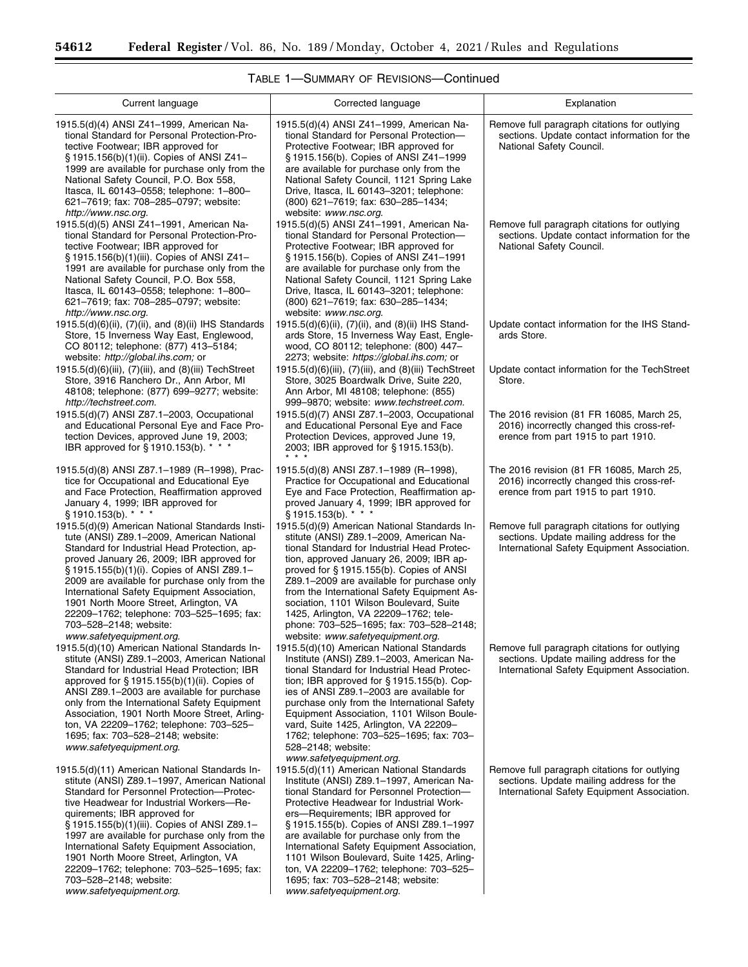Ξ

| 54612 | Federal Register/Vol. 86, No. 189/Monday, October 4, 2021/Rules and Regulations |  |  |  |
|-------|---------------------------------------------------------------------------------|--|--|--|

| Current language                                                                                                                                                                                                                                                                                                                                                                                                                                                                                                      | Corrected language                                                                                                                                                                                                                                                                                                                                                                                                                                                                                                     | Explanation                                                                                                                             |
|-----------------------------------------------------------------------------------------------------------------------------------------------------------------------------------------------------------------------------------------------------------------------------------------------------------------------------------------------------------------------------------------------------------------------------------------------------------------------------------------------------------------------|------------------------------------------------------------------------------------------------------------------------------------------------------------------------------------------------------------------------------------------------------------------------------------------------------------------------------------------------------------------------------------------------------------------------------------------------------------------------------------------------------------------------|-----------------------------------------------------------------------------------------------------------------------------------------|
| 1915.5(d)(4) ANSI Z41-1999, American Na-<br>tional Standard for Personal Protection-Pro-<br>tective Footwear; IBR approved for<br>§ 1915.156(b)(1)(ii). Copies of ANSI Z41-<br>1999 are available for purchase only from the<br>National Safety Council, P.O. Box 558,<br>Itasca, IL 60143-0558; telephone: 1-800-<br>621-7619; fax: 708-285-0797; website:<br>http://www.nsc.org.                                                                                                                                    | 1915.5(d)(4) ANSI Z41-1999, American Na-<br>tional Standard for Personal Protection-<br>Protective Footwear; IBR approved for<br>§1915.156(b). Copies of ANSI Z41-1999<br>are available for purchase only from the<br>National Safety Council, 1121 Spring Lake<br>Drive, Itasca, IL 60143-3201; telephone:<br>(800) 621-7619; fax: 630-285-1434;<br>website: www.nsc.org.                                                                                                                                             | Remove full paragraph citations for outlying<br>sections. Update contact information for the<br>National Safety Council.                |
| 1915.5(d)(5) ANSI Z41-1991, American Na-<br>tional Standard for Personal Protection-Pro-<br>tective Footwear; IBR approved for<br>§ 1915.156(b)(1)(iii). Copies of ANSI Z41-<br>1991 are available for purchase only from the<br>National Safety Council, P.O. Box 558,<br>Itasca, IL 60143–0558; telephone: 1–800–<br>621-7619; fax: 708-285-0797; website:<br>http://www.nsc.org.                                                                                                                                   | 1915.5(d)(5) ANSI Z41-1991, American Na-<br>tional Standard for Personal Protection-<br>Protective Footwear; IBR approved for<br>§ 1915.156(b). Copies of ANSI Z41-1991<br>are available for purchase only from the<br>National Safety Council, 1121 Spring Lake<br>Drive, Itasca, IL 60143-3201; telephone:<br>(800) 621–7619; fax: 630–285–1434;<br>website: www.nsc.org.                                                                                                                                            | Remove full paragraph citations for outlying<br>sections. Update contact information for the<br>National Safety Council.                |
| 1915.5(d)(6)(ii), (7)(ii), and (8)(ii) IHS Standards<br>Store, 15 Inverness Way East, Englewood,<br>CO 80112; telephone: (877) 413-5184;<br>website: http://global.ihs.com; or                                                                                                                                                                                                                                                                                                                                        | 1915.5(d)(6)(ii), (7)(ii), and (8)(ii) IHS Stand-<br>ards Store, 15 Inverness Way East, Engle-<br>wood, CO 80112; telephone: (800) 447-<br>2273; website: https://global.ihs.com; or                                                                                                                                                                                                                                                                                                                                   | Update contact information for the IHS Stand-<br>ards Store.                                                                            |
| 1915.5(d)(6)(iii), (7)(iii), and (8)(iii) TechStreet<br>Store, 3916 Ranchero Dr., Ann Arbor, MI<br>48108; telephone: (877) 699-9277; website:<br>http://techstreet.com.                                                                                                                                                                                                                                                                                                                                               | 1915.5(d)(6)(iii), (7)(iii), and (8)(iii) TechStreet<br>Store, 3025 Boardwalk Drive, Suite 220,<br>Ann Arbor, MI 48108; telephone: (855)<br>999-9870; website: www.techstreet.com.                                                                                                                                                                                                                                                                                                                                     | Update contact information for the TechStreet<br>Store.                                                                                 |
| 1915.5(d)(7) ANSI Z87.1-2003, Occupational<br>and Educational Personal Eye and Face Pro-<br>tection Devices, approved June 19, 2003;<br>IBR approved for §1910.153(b). * * *                                                                                                                                                                                                                                                                                                                                          | 1915.5(d)(7) ANSI Z87.1-2003, Occupational<br>and Educational Personal Eye and Face<br>Protection Devices, approved June 19,<br>2003; IBR approved for §1915.153(b).<br>$* * *$                                                                                                                                                                                                                                                                                                                                        | The 2016 revision (81 FR 16085, March 25,<br>2016) incorrectly changed this cross-ref-<br>erence from part 1915 to part 1910.           |
| 1915.5(d)(8) ANSI Z87.1-1989 (R-1998), Prac-<br>tice for Occupational and Educational Eye<br>and Face Protection, Reaffirmation approved<br>January 4, 1999; IBR approved for<br>$§ 1910.153(b).$ * * *                                                                                                                                                                                                                                                                                                               | 1915.5(d)(8) ANSI Z87.1-1989 (R-1998),<br>Practice for Occupational and Educational<br>Eye and Face Protection, Reaffirmation ap-<br>proved January 4, 1999; IBR approved for<br>§1915.153(b). * * *                                                                                                                                                                                                                                                                                                                   | The 2016 revision (81 FR 16085, March 25,<br>2016) incorrectly changed this cross-ref-<br>erence from part 1915 to part 1910.           |
| 1915.5(d)(9) American National Standards Insti-<br>tute (ANSI) Z89.1-2009, American National<br>Standard for Industrial Head Protection, ap-<br>proved January 26, 2009; IBR approved for<br>§ 1915.155(b)(1)(i). Copies of ANSI Z89.1-<br>2009 are available for purchase only from the<br>International Safety Equipment Association,<br>1901 North Moore Street, Arlington, VA<br>22209-1762; telephone: 703-525-1695; fax:<br>703-528-2148; website:<br>www.safetyequipment.org.                                  | 1915.5(d)(9) American National Standards In-<br>stitute (ANSI) Z89.1-2009, American Na-<br>tional Standard for Industrial Head Protec-<br>tion, approved January 26, 2009; IBR ap-<br>proved for §1915.155(b). Copies of ANSI<br>Z89.1-2009 are available for purchase only<br>from the International Safety Equipment As-<br>sociation, 1101 Wilson Boulevard, Suite<br>1425, Arlington, VA 22209-1762; tele-<br>phone: 703-525-1695; fax: 703-528-2148;<br>website: www.safetyequipment.org.                         | Remove full paragraph citations for outlying<br>sections. Update mailing address for the<br>International Safety Equipment Association. |
| 1915.5(d)(10) American National Standards In-<br>stitute (ANSI) Z89.1-2003, American National<br>Standard for Industrial Head Protection; IBR<br>approved for $\S$ 1915.155(b)(1)(ii). Copies of<br>ANSI Z89.1-2003 are available for purchase<br>only from the International Safety Equipment<br>Association, 1901 North Moore Street, Arling-<br>ton, VA 22209-1762; telephone: 703-525-<br>1695; fax: 703-528-2148; website:<br>www.safetyequipment.org.                                                           | 1915.5(d)(10) American National Standards<br>Institute (ANSI) Z89.1-2003, American Na-<br>tional Standard for Industrial Head Protec-<br>tion; IBR approved for $\S$ 1915.155(b). Cop-<br>ies of ANSI Z89.1-2003 are available for<br>purchase only from the International Safety<br>Equipment Association, 1101 Wilson Boule-<br>vard, Suite 1425, Arlington, VA 22209-<br>1762; telephone: 703-525-1695; fax: 703-<br>528-2148; website:<br>www.safetyequipment.org.                                                 | Remove full paragraph citations for outlying<br>sections. Update mailing address for the<br>International Safety Equipment Association. |
| 1915.5(d)(11) American National Standards In-<br>stitute (ANSI) Z89.1-1997, American National<br>Standard for Personnel Protection---Protec-<br>tive Headwear for Industrial Workers-Re-<br>quirements; IBR approved for<br>§ 1915.155(b)(1)(iii). Copies of ANSI Z89.1-<br>1997 are available for purchase only from the<br>International Safety Equipment Association,<br>1901 North Moore Street, Arlington, VA<br>22209-1762; telephone: 703-525-1695; fax:<br>703-528-2148; website:<br>www.safetyequipment.org. | 1915.5(d)(11) American National Standards<br>Institute (ANSI) Z89.1-1997, American Na-<br>tional Standard for Personnel Protection-<br>Protective Headwear for Industrial Work-<br>ers-Requirements; IBR approved for<br>§ 1915.155(b). Copies of ANSI Z89.1-1997<br>are available for purchase only from the<br>International Safety Equipment Association,<br>1101 Wilson Boulevard, Suite 1425, Arling-<br>ton, VA 22209-1762; telephone: 703-525-<br>1695; fax: 703-528-2148; website:<br>www.safetyequipment.org. | Remove full paragraph citations for outlying<br>sections. Update mailing address for the<br>International Safety Equipment Association. |

# TABLE 1—SUMMARY OF REVISIONS—Continued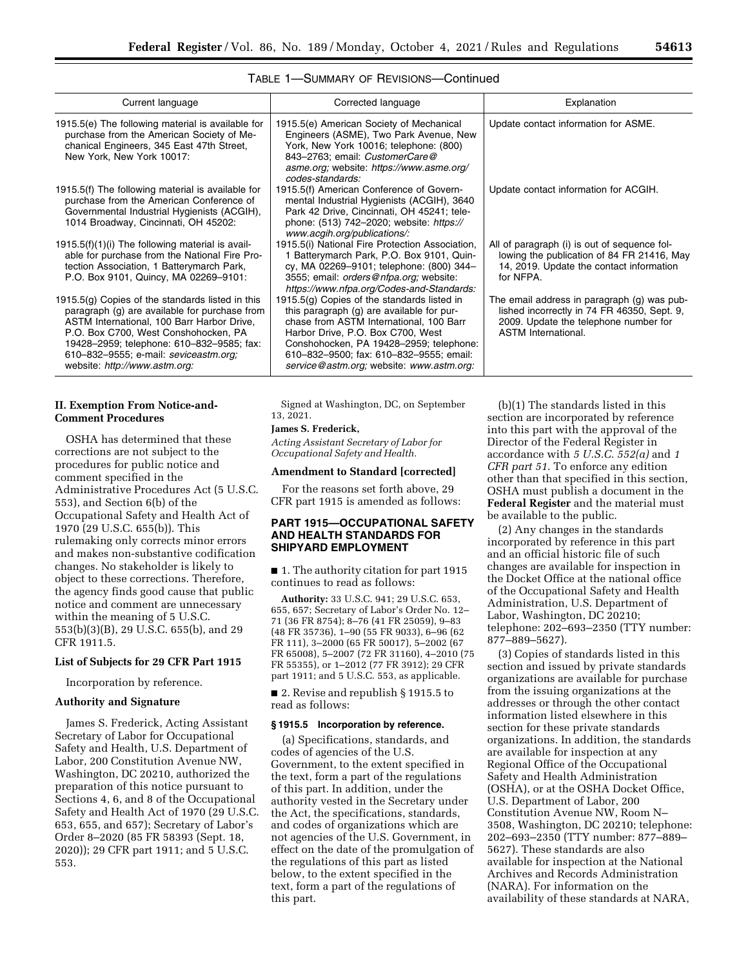| Current language                                                                                                                                                                                                                                                                                                  | Corrected language                                                                                                                                                                                                                                                                                           | Explanation                                                                                                                                                |
|-------------------------------------------------------------------------------------------------------------------------------------------------------------------------------------------------------------------------------------------------------------------------------------------------------------------|--------------------------------------------------------------------------------------------------------------------------------------------------------------------------------------------------------------------------------------------------------------------------------------------------------------|------------------------------------------------------------------------------------------------------------------------------------------------------------|
| 1915.5(e) The following material is available for<br>purchase from the American Society of Me-<br>chanical Engineers, 345 East 47th Street,<br>New York, New York 10017:                                                                                                                                          | 1915.5(e) American Society of Mechanical<br>Engineers (ASME), Two Park Avenue, New<br>York, New York 10016; telephone: (800)<br>843-2763; email: CustomerCare@<br>asme.org; website: https://www.asme.org/<br>codes-standards:                                                                               | Update contact information for ASME.                                                                                                                       |
| 1915.5(f) The following material is available for<br>purchase from the American Conference of<br>Governmental Industrial Hygienists (ACGIH),<br>1014 Broadway, Cincinnati, OH 45202:                                                                                                                              | 1915.5(f) American Conference of Govern-<br>mental Industrial Hygienists (ACGIH), 3640<br>Park 42 Drive, Cincinnati, OH 45241; tele-<br>phone: (513) 742-2020; website: https://<br>www.acgih.org/publications/:                                                                                             | Update contact information for ACGIH.                                                                                                                      |
| $1915.5(f)(1)(i)$ The following material is avail-<br>able for purchase from the National Fire Pro-<br>tection Association, 1 Batterymarch Park,<br>P.O. Box 9101, Quincy, MA 02269-9101:                                                                                                                         | 1915.5(i) National Fire Protection Association,<br>1 Batterymarch Park, P.O. Box 9101, Quin-<br>cy, MA 02269-9101; telephone: (800) 344-<br>3555; email: <i>orders@nfpa.org</i> ; website:<br>https://www.nfpa.org/Codes-and-Standards:                                                                      | All of paragraph (i) is out of sequence fol-<br>lowing the publication of 84 FR 21416, May<br>14, 2019. Update the contact information<br>for NFPA.        |
| 1915.5 $(g)$ Copies of the standards listed in this<br>paragraph (g) are available for purchase from<br>ASTM International, 100 Barr Harbor Drive,<br>P.O. Box C700, West Conshohocken, PA<br>19428-2959; telephone: 610-832-9585; fax:<br>610-832-9555; e-mail: seviceastm.org;<br>website: http://www.astm.org: | $1915.5(g)$ Copies of the standards listed in<br>this paragraph (g) are available for pur-<br>chase from ASTM International, 100 Barr<br>Harbor Drive, P.O. Box C700, West<br>Conshohocken, PA 19428-2959; telephone:<br>610-832-9500; fax: 610-832-9555; email:<br>service@astm.org; website: www.astm.org: | The email address in paragraph (g) was pub-<br>lished incorrectly in 74 FR 46350, Sept. 9,<br>2009. Update the telephone number for<br>ASTM International. |

# TABLE 1—SUMMARY OF REVISIONS—Continued

## **II. Exemption From Notice-and-Comment Procedures**

OSHA has determined that these corrections are not subject to the procedures for public notice and comment specified in the Administrative Procedures Act (5 U.S.C. 553), and Section 6(b) of the Occupational Safety and Health Act of 1970 (29 U.S.C. 655(b)). This rulemaking only corrects minor errors and makes non-substantive codification changes. No stakeholder is likely to object to these corrections. Therefore, the agency finds good cause that public notice and comment are unnecessary within the meaning of 5 U.S.C. 553(b)(3)(B), 29 U.S.C. 655(b), and 29 CFR 1911.5.

#### **List of Subjects for 29 CFR Part 1915**

Incorporation by reference.

#### **Authority and Signature**

James S. Frederick, Acting Assistant Secretary of Labor for Occupational Safety and Health, U.S. Department of Labor, 200 Constitution Avenue NW, Washington, DC 20210, authorized the preparation of this notice pursuant to Sections 4, 6, and 8 of the Occupational Safety and Health Act of 1970 (29 U.S.C. 653, 655, and 657); Secretary of Labor's Order 8–2020 (85 FR 58393 (Sept. 18, 2020)); 29 CFR part 1911; and 5 U.S.C. 553.

Signed at Washington, DC, on September 13, 2021.

## **James S. Frederick,**

*Acting Assistant Secretary of Labor for Occupational Safety and Health.* 

#### **Amendment to Standard [corrected]**

For the reasons set forth above, 29 CFR part 1915 is amended as follows:

#### **PART 1915—OCCUPATIONAL SAFETY AND HEALTH STANDARDS FOR SHIPYARD EMPLOYMENT**

■ 1. The authority citation for part 1915 continues to read as follows:

**Authority:** 33 U.S.C. 941; 29 U.S.C. 653, 655, 657; Secretary of Labor's Order No. 12– 71 (36 FR 8754); 8–76 (41 FR 25059), 9–83 (48 FR 35736), 1–90 (55 FR 9033), 6–96 (62 FR 111), 3–2000 (65 FR 50017), 5–2002 (67 FR 65008), 5–2007 (72 FR 31160), 4–2010 (75 FR 55355), or 1–2012 (77 FR 3912); 29 CFR part 1911; and 5 U.S.C. 553, as applicable.

■ 2. Revise and republish § 1915.5 to read as follows:

#### **§ 1915.5 Incorporation by reference.**

(a) Specifications, standards, and codes of agencies of the U.S. Government, to the extent specified in the text, form a part of the regulations of this part. In addition, under the authority vested in the Secretary under the Act, the specifications, standards, and codes of organizations which are not agencies of the U.S. Government, in effect on the date of the promulgation of the regulations of this part as listed below, to the extent specified in the text, form a part of the regulations of this part.

(b)(1) The standards listed in this section are incorporated by reference into this part with the approval of the Director of the Federal Register in accordance with *5 U.S.C. 552(a)* and *1 CFR part 51*. To enforce any edition other than that specified in this section, OSHA must publish a document in the **Federal Register** and the material must be available to the public.

(2) Any changes in the standards incorporated by reference in this part and an official historic file of such changes are available for inspection in the Docket Office at the national office of the Occupational Safety and Health Administration, U.S. Department of Labor, Washington, DC 20210; telephone: 202–693–2350 (TTY number: 877–889–5627).

(3) Copies of standards listed in this section and issued by private standards organizations are available for purchase from the issuing organizations at the addresses or through the other contact information listed elsewhere in this section for these private standards organizations. In addition, the standards are available for inspection at any Regional Office of the Occupational Safety and Health Administration (OSHA), or at the OSHA Docket Office, U.S. Department of Labor, 200 Constitution Avenue NW, Room N– 3508, Washington, DC 20210; telephone: 202–693–2350 (TTY number: 877–889– 5627). These standards are also available for inspection at the National Archives and Records Administration (NARA). For information on the availability of these standards at NARA,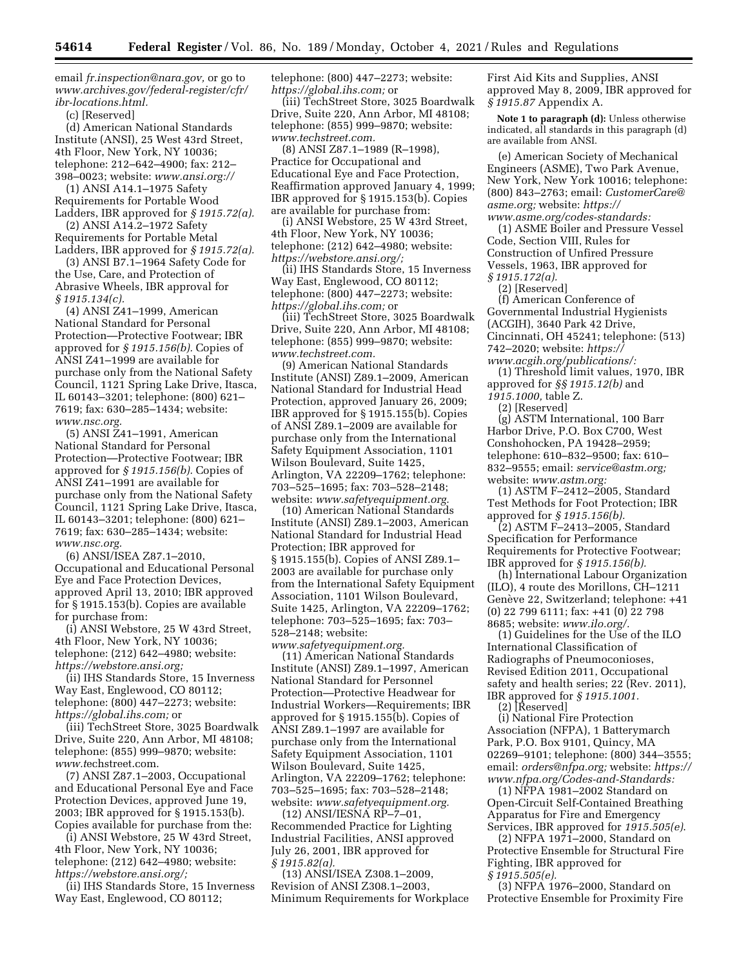email *[fr.inspection@nara.gov,](mailto:fr.inspection@nara.gov)* or go to *[www.archives.gov/federal-register/cfr/](http://www.archives.gov/federal-register/cfr/ibr-locations.html)  [ibr-locations.html.](http://www.archives.gov/federal-register/cfr/ibr-locations.html)* 

(c) [Reserved]

(d) American National Standards Institute (ANSI), 25 West 43rd Street, 4th Floor, New York, NY 10036; telephone: 212–642–4900; fax: 212– 398–0023; website: *[www.ansi.org://](http://www.ansi.org://)* 

(1) ANSI A14.1–1975 Safety Requirements for Portable Wood Ladders, IBR approved for *§ 1915.72(a).* 

(2) ANSI A14.2–1972 Safety Requirements for Portable Metal Ladders, IBR approved for *§ 1915.72(a).* 

(3) ANSI B7.1–1964 Safety Code for the Use, Care, and Protection of Abrasive Wheels, IBR approval for *§ 1915.134(c).* 

(4) ANSI Z41–1999, American National Standard for Personal Protection—Protective Footwear; IBR approved for *§ 1915.156(b).* Copies of ANSI Z41–1999 are available for purchase only from the National Safety Council, 1121 Spring Lake Drive, Itasca, IL 60143–3201; telephone: (800) 621– 7619; fax: 630–285–1434; website: *[www.nsc.org.](http://www.nsc.org)* 

(5) ANSI Z41–1991, American National Standard for Personal Protection—Protective Footwear; IBR approved for *§ 1915.156(b).* Copies of ANSI Z41–1991 are available for purchase only from the National Safety Council, 1121 Spring Lake Drive, Itasca, IL 60143–3201; telephone: (800) 621– 7619; fax: 630–285–1434; website: *[www.nsc.org.](http://www.nsc.org)* 

(6) ANSI/ISEA Z87.1–2010, Occupational and Educational Personal Eye and Face Protection Devices, approved April 13, 2010; IBR approved for § 1915.153(b). Copies are available for purchase from:

(i) ANSI Webstore, 25 W 43rd Street, 4th Floor, New York, NY 10036; telephone: (212) 642–4980; website: *[https://webstore.ansi.org;](https://webstore.ansi.org)* 

(ii) IHS Standards Store, 15 Inverness Way East, Englewood, CO 80112; telephone: (800) 447–2273; website: *[https://global.ihs.com;](https://global.ihs.com)* or

(iii) TechStreet Store, 3025 Boardwalk Drive, Suite 220, Ann Arbor, MI 48108; telephone: (855) 999–9870; website: *www.t*[echstreet.com.](http://www.techstreet.com)

(7) ANSI Z87.1–2003, Occupational and Educational Personal Eye and Face Protection Devices, approved June 19, 2003; IBR approved for § 1915.153(b). Copies available for purchase from the:

(i) ANSI Webstore, 25 W 43rd Street, 4th Floor, New York, NY 10036; telephone: (212) 642–4980; website: *[https://webstore.ansi.org/;](https://webstore.ansi.org/)* 

(ii) IHS Standards Store, 15 Inverness Way East, Englewood, CO 80112;

telephone: (800) 447–2273; website: *[https://global.ihs.com;](https://global.ihs.com)* or

(iii) TechStreet Store, 3025 Boardwalk Drive, Suite 220, Ann Arbor, MI 48108; telephone: (855) 999–9870; website: *[www.techstreet.com.](http://www.techstreet.com)* 

(8) ANSI Z87.1–1989 (R–1998), Practice for Occupational and Educational Eye and Face Protection, Reaffirmation approved January 4, 1999; IBR approved for § 1915.153(b). Copies are available for purchase from:

(i) ANSI Webstore, 25 W 43rd Street, 4th Floor, New York, NY 10036; telephone: (212) 642–4980; website: *[https://webstore.ansi.org/;](https://webstore.ansi.org/)* 

(ii) IHS Standards Store, 15 Inverness Way East, Englewood, CO 80112; telephone: (800) 447–2273; website: *[https://global.ihs.com;](https://global.ihs.com)* or

(iii) TechStreet Store, 3025 Boardwalk Drive, Suite 220, Ann Arbor, MI 48108; telephone: (855) 999–9870; website: *[www.techstreet.com.](http://www.techstreet.com)* 

(9) American National Standards Institute (ANSI) Z89.1–2009, American National Standard for Industrial Head Protection, approved January 26, 2009; IBR approved for § 1915.155(b). Copies of ANSI Z89.1–2009 are available for purchase only from the International Safety Equipment Association, 1101 Wilson Boulevard, Suite 1425, Arlington, VA 22209–1762; telephone: 703–525–1695; fax: 703–528–2148; website: *[www.safetyequipment.org.](http://www.safetyequipment.org)* 

(10) American National Standards Institute (ANSI) Z89.1–2003, American National Standard for Industrial Head Protection; IBR approved for § 1915.155(b). Copies of ANSI Z89.1– 2003 are available for purchase only from the International Safety Equipment Association, 1101 Wilson Boulevard, Suite 1425, Arlington, VA 22209–1762; telephone: 703–525–1695; fax: 703– 528–2148; website:

*[www.safetyequipment.org.](http://www.safetyequipment.org)*  (11) American National Standards Institute (ANSI) Z89.1–1997, American National Standard for Personnel Protection—Protective Headwear for Industrial Workers—Requirements; IBR approved for § 1915.155(b). Copies of ANSI Z89.1–1997 are available for purchase only from the International Safety Equipment Association, 1101 Wilson Boulevard, Suite 1425, Arlington, VA 22209–1762; telephone: 703–525–1695; fax: 703–528–2148; website: *[www.safetyequipment.org.](http://www.safetyequipment.org)* 

(12) ANSI/IESNA RP–7–01, Recommended Practice for Lighting Industrial Facilities, ANSI approved July 26, 2001, IBR approved for *§ 1915.82(a).* 

(13) ANSI/ISEA Z308.1–2009, Revision of ANSI Z308.1–2003, Minimum Requirements for Workplace First Aid Kits and Supplies, ANSI approved May 8, 2009, IBR approved for *§ 1915.87* Appendix A.

**Note 1 to paragraph (d):** Unless otherwise indicated, all standards in this paragraph (d) are available from ANSI.

(e) American Society of Mechanical Engineers (ASME), Two Park Avenue, New York, New York 10016; telephone: (800) 843–2763; email: *[CustomerCare@](mailto:CustomerCare@asme.org) [asme.org;](mailto:CustomerCare@asme.org)* website: *[https://](https://www.asme.org/codes-standards) [www.asme.org/codes-standards:](https://www.asme.org/codes-standards)* 

(1) ASME Boiler and Pressure Vessel Code, Section VIII, Rules for Construction of Unfired Pressure Vessels, 1963, IBR approved for *§ 1915.172(a).* 

(2) [Reserved]

(f) American Conference of Governmental Industrial Hygienists (ACGIH), 3640 Park 42 Drive, Cincinnati, OH 45241; telephone: (513) 742–2020; website: *[https://](https://www.acgih.org/publications/) [www.acgih.org/publications/:](https://www.acgih.org/publications/)* 

(1) Threshold limit values, 1970, IBR approved for *§§ 1915.12(b)* and

*1915.1000,* table Z.

(2) [Reserved]

(g) ASTM International, 100 Barr Harbor Drive, P.O. Box C700, West Conshohocken, PA 19428–2959; telephone: 610–832–9500; fax: 610– 832–9555; email: *[service@astm.org;](mailto:service@astm.org)*  website: *[www.astm.org:](http://www.astm.org)* 

(1) ASTM F–2412–2005, Standard Test Methods for Foot Protection; IBR approved for *§ 1915.156(b).* 

(2) ASTM F–2413–2005, Standard Specification for Performance Requirements for Protective Footwear; IBR approved for *§ 1915.156(b).* 

(h) International Labour Organization (ILO), 4 route des Morillons, CH–1211 Genève 22, Switzerland; telephone: +41 (0) 22 799 6111; fax: +41 (0) 22 798 8685; website: *[www.ilo.org/.](http://www.ilo.org/)* 

(1) Guidelines for the Use of the ILO International Classification of Radiographs of Pneumoconioses, Revised Edition 2011, Occupational safety and health series; 22 (Rev. 2011), IBR approved for *§ 1915.1001.* 

(2) [Reserved]

(i) National Fire Protection Association (NFPA), 1 Batterymarch Park, P.O. Box 9101, Quincy, MA 02269–9101; telephone: (800) 344–3555; email: *[orders@nfpa.org;](mailto:orders@nfpa.org)* website: *[https://](https://www.nfpa.org/Codes-and-Standards) [www.nfpa.org/Codes-and-Standards:](https://www.nfpa.org/Codes-and-Standards)* 

(1) NFPA 1981–2002 Standard on Open-Circuit Self-Contained Breathing Apparatus for Fire and Emergency Services, IBR approved for *1915.505(e)*.

(2) NFPA 1971–2000, Standard on Protective Ensemble for Structural Fire Fighting, IBR approved for *§ 1915.505(e).* 

(3) NFPA 1976–2000, Standard on Protective Ensemble for Proximity Fire